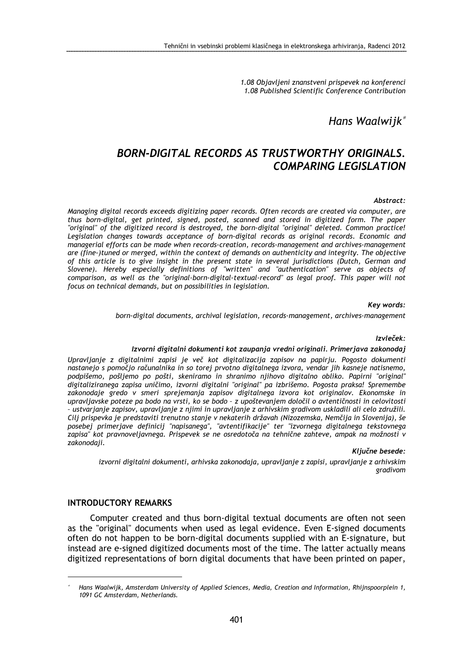1.08 Objavljeni znanstveni prispevek na konferenci 1.08 Published Scientific Conference Contribution

Hans Waalwijk<sup>\*</sup>

# BORN-DIGITAL RECORDS AS TRUSTWORTHY ORIGINALS. COMPARING LEGISLATION

#### Abstract:

Managing digital records exceeds digitizing paper records. Often records are created via computer, are thus born-digital, get printed, signed, posted, scanned and stored in digitized form. The paper "original" of the digitized record is destroyed, the born-digital "original" deleted. Common practice! Legislation changes towards acceptance of born-digital records as original records. Economic and managerial efforts can be made when records-creation, records-management and archives-management are (fine-)tuned or merged, within the context of demands on authenticity and integrity. The objective of this article is to give insight in the present state in several jurisdictions (Dutch, German and Slovene). Hereby especially definitions of "written" and "authentication" serve as objects of comparison, as well as the "original-born-digital-textual-record" as legal proof. This paper will not focus on technical demands, but on possibilities in legislation.

Key words:

born-digital documents, archival legislation, records-management, archives-management

Izvleček:

#### Izvorni digitalni dokumenti kot zaupanja vredni originali. Primerjava zakonodaj

Upravljanje z digitalnimi zapisi je več kot digitalizacija zapisov na papirju. Pogosto dokumenti nastanejo s pomočjo računalnika in so torej prvotno digitalnega izvora, vendar jih kasneje natisnemo, podpišemo, pošljemo po pošti, skeniramo in shranimo njihovo digitalno obliko. Papirni "original" digitaliziranega zapisa uničimo, izvorni digitalni "original" pa izbrišemo. Pogosta praksa! Spremembe zakonodaje gredo v smeri sprejemanja zapisov digitalnega izvora kot originalov. Ekonomske in upravljavske poteze pa bodo na vrsti, ko se bodo – z upoštevanjem določil o avtentičnosti in celovitosti – ustvarjanje zapisov, upravljanje z njimi in upravljanje z arhivskim gradivom uskladili ali celo združili. Cilj prispevka je predstaviti trenutno stanje v nekaterih državah (Nizozemska, Nemčija in Slovenija), še posebej primerjave definicij "napisanega", "avtentifikacije" ter "izvornega digitalnega tekstovnega zapisa" kot pravnoveljavnega. Prispevek se ne osredotoča na tehnične zahteve, ampak na možnosti v zakonodaji.

#### Ključne besede:

izvorni digitalni dokumenti, arhivska zakonodaja, upravljanje z zapisi, upravljanje z arhivskim gradivom

#### INTRODUCTORY REMARKS

 $\overline{a}$ 

Computer created and thus born-digital textual documents are often not seen as the "original" documents when used as legal evidence. Even E-signed documents often do not happen to be born-digital documents supplied with an E-signature, but instead are e-signed digitized documents most of the time. The latter actually means digitized representations of born digital documents that have been printed on paper,

<sup>∗</sup> Hans Waalwijk, Amsterdam University of Applied Sciences, Media, Creation and Information, Rhijnspoorplein 1, 1091 GC Amsterdam, Netherlands.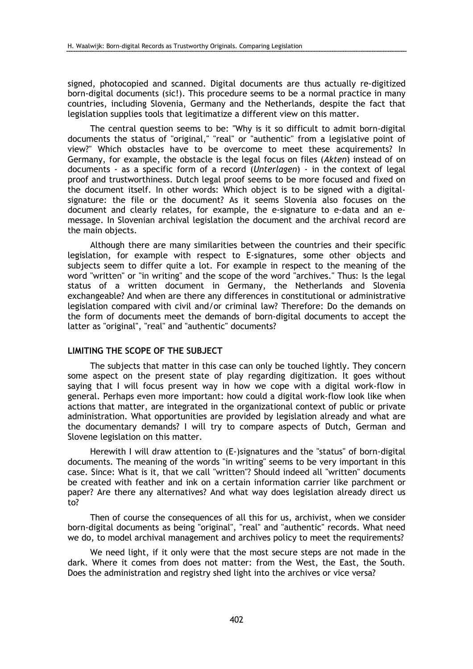signed, photocopied and scanned. Digital documents are thus actually re-digitized born-digital documents (sic!). This procedure seems to be a normal practice in many countries, including Slovenia, Germany and the Netherlands, despite the fact that legislation supplies tools that legitimatize a different view on this matter.

The central question seems to be: "Why is it so difficult to admit born-digital documents the status of "original," "real" or "authentic" from a legislative point of view?" Which obstacles have to be overcome to meet these acquirements? In Germany, for example, the obstacle is the legal focus on files (Akten) instead of on documents - as a specific form of a record (Unterlagen) - in the context of legal proof and trustworthiness. Dutch legal proof seems to be more focused and fixed on the document itself. In other words: Which object is to be signed with a digitalsignature: the file or the document? As it seems Slovenia also focuses on the document and clearly relates, for example, the e-signature to e-data and an emessage. In Slovenian archival legislation the document and the archival record are the main objects.

Although there are many similarities between the countries and their specific legislation, for example with respect to E-signatures, some other objects and subjects seem to differ quite a lot. For example in respect to the meaning of the word "written" or "in writing" and the scope of the word "archives." Thus: Is the legal status of a written document in Germany, the Netherlands and Slovenia exchangeable? And when are there any differences in constitutional or administrative legislation compared with civil and/or criminal law? Therefore: Do the demands on the form of documents meet the demands of born-digital documents to accept the latter as "original", "real" and "authentic" documents?

## LIMITING THE SCOPE OF THE SUBJECT

The subjects that matter in this case can only be touched lightly. They concern some aspect on the present state of play regarding digitization. It goes without saying that I will focus present way in how we cope with a digital work-flow in general. Perhaps even more important: how could a digital work-flow look like when actions that matter, are integrated in the organizational context of public or private administration. What opportunities are provided by legislation already and what are the documentary demands? I will try to compare aspects of Dutch, German and Slovene legislation on this matter.

Herewith I will draw attention to (E-)signatures and the "status" of born-digital documents. The meaning of the words "in writing" seems to be very important in this case. Since: What is it, that we call "written"? Should indeed all "written" documents be created with feather and ink on a certain information carrier like parchment or paper? Are there any alternatives? And what way does legislation already direct us to?

Then of course the consequences of all this for us, archivist, when we consider born-digital documents as being "original", "real" and "authentic" records. What need we do, to model archival management and archives policy to meet the requirements?

We need light, if it only were that the most secure steps are not made in the dark. Where it comes from does not matter: from the West, the East, the South. Does the administration and registry shed light into the archives or vice versa?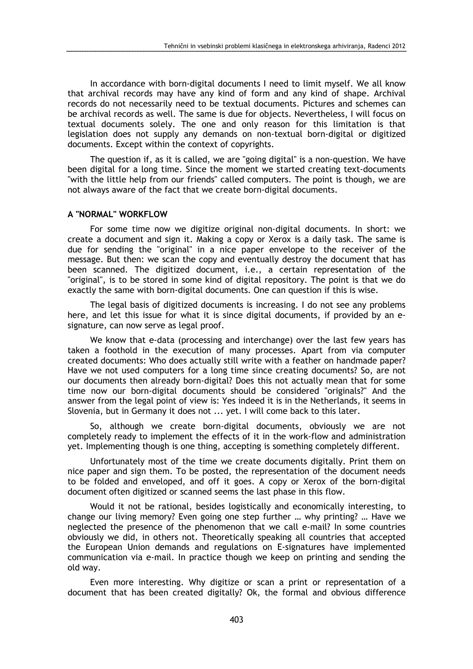In accordance with born-digital documents I need to limit myself. We all know that archival records may have any kind of form and any kind of shape. Archival records do not necessarily need to be textual documents. Pictures and schemes can be archival records as well. The same is due for objects. Nevertheless, I will focus on textual documents solely. The one and only reason for this limitation is that legislation does not supply any demands on non-textual born-digital or digitized documents. Except within the context of copyrights.

The question if, as it is called, we are "going digital" is a non-question. We have been digital for a long time. Since the moment we started creating text-documents "with the little help from our friends" called computers. The point is though, we are not always aware of the fact that we create born-digital documents.

### A "NORMAL" WORKFLOW

For some time now we digitize original non-digital documents. In short: we create a document and sign it. Making a copy or Xerox is a daily task. The same is due for sending the "original" in a nice paper envelope to the receiver of the message. But then: we scan the copy and eventually destroy the document that has been scanned. The digitized document, i.e., a certain representation of the "original", is to be stored in some kind of digital repository. The point is that we do exactly the same with born-digital documents. One can question if this is wise.

The legal basis of digitized documents is increasing. I do not see any problems here, and let this issue for what it is since digital documents, if provided by an esignature, can now serve as legal proof.

We know that e-data (processing and interchange) over the last few years has taken a foothold in the execution of many processes. Apart from via computer created documents: Who does actually still write with a feather on handmade paper? Have we not used computers for a long time since creating documents? So, are not our documents then already born-digital? Does this not actually mean that for some time now our born-digital documents should be considered "originals?" And the answer from the legal point of view is: Yes indeed it is in the Netherlands, it seems in Slovenia, but in Germany it does not ... yet. I will come back to this later.

So, although we create born-digital documents, obviously we are not completely ready to implement the effects of it in the work-flow and administration yet. Implementing though is one thing, accepting is something completely different.

Unfortunately most of the time we create documents digitally. Print them on nice paper and sign them. To be posted, the representation of the document needs to be folded and enveloped, and off it goes. A copy or Xerox of the born-digital document often digitized or scanned seems the last phase in this flow.

Would it not be rational, besides logistically and economically interesting, to change our living memory? Even going one step further … why printing? … Have we neglected the presence of the phenomenon that we call e-mail? In some countries obviously we did, in others not. Theoretically speaking all countries that accepted the European Union demands and regulations on E-signatures have implemented communication via e-mail. In practice though we keep on printing and sending the old way.

Even more interesting. Why digitize or scan a print or representation of a document that has been created digitally? Ok, the formal and obvious difference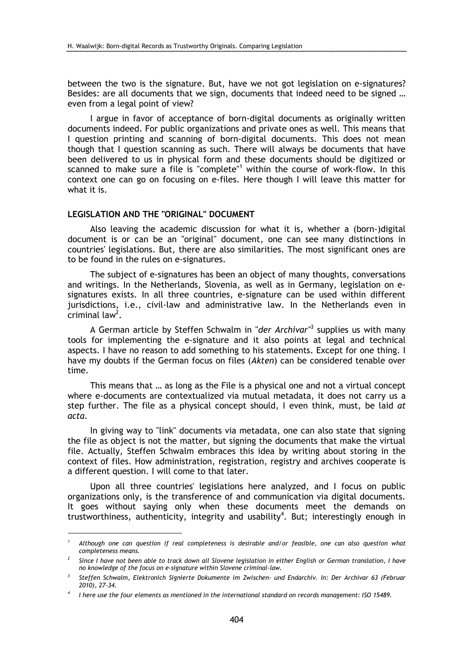between the two is the signature. But, have we not got legislation on e-signatures? Besides: are all documents that we sign, documents that indeed need to be signed … even from a legal point of view?

I argue in favor of acceptance of born-digital documents as originally written documents indeed. For public organizations and private ones as well. This means that I question printing and scanning of born-digital documents. This does not mean though that I question scanning as such. There will always be documents that have been delivered to us in physical form and these documents should be digitized or scanned to make sure a file is "complete"<sup>1</sup> within the course of work-flow. In this context one can go on focusing on e-files. Here though I will leave this matter for what it is.

# LEGISLATION AND THE "ORIGINAL" DOCUMENT

 $\overline{a}$ 

Also leaving the academic discussion for what it is, whether a (born-)digital document is or can be an "original" document, one can see many distinctions in countries' legislations. But, there are also similarities. The most significant ones are to be found in the rules on e-signatures.

The subject of e-signatures has been an object of many thoughts, conversations and writings. In the Netherlands, Slovenia, as well as in Germany, legislation on esignatures exists. In all three countries, e-signature can be used within different jurisdictions, i.e., civil-law and administrative law. In the Netherlands even in criminal law<sup>2</sup>.

A German article by Steffen Schwalm in "der Archivar"<sup>3</sup> supplies us with many tools for implementing the e-signature and it also points at legal and technical aspects. I have no reason to add something to his statements. Except for one thing. I have my doubts if the German focus on files (Akten) can be considered tenable over time.

This means that … as long as the File is a physical one and not a virtual concept where e-documents are contextualized via mutual metadata, it does not carry us a step further. The file as a physical concept should, I even think, must, be laid at acta.

In giving way to "link" documents via metadata, one can also state that signing the file as object is not the matter, but signing the documents that make the virtual file. Actually, Steffen Schwalm embraces this idea by writing about storing in the context of files. How administration, registration, registry and archives cooperate is a different question. I will come to that later.

Upon all three countries' legislations here analyzed, and I focus on public organizations only, is the transference of and communication via digital documents. It goes without saying only when these documents meet the demands on trustworthiness, authenticity, integrity and usability<sup>4</sup>. But; interestingly enough in

<sup>1</sup> Although one can question if real completeness is desirable and/or feasible, one can also question what completeness means.

<sup>2</sup> Since I have not been able to track down all Slovene legislation in either English or German translation, I have no knowledge of the focus on e-signature within Slovene criminal-law.

<sup>3</sup> Steffen Schwalm, Elektronich Signierte Dokumente im Zwischen- und Endarchiv. In: Der Archivar 63 (Februar 2010), 27-34.

<sup>4</sup> I here use the four elements as mentioned in the international standard on records management: ISO 15489.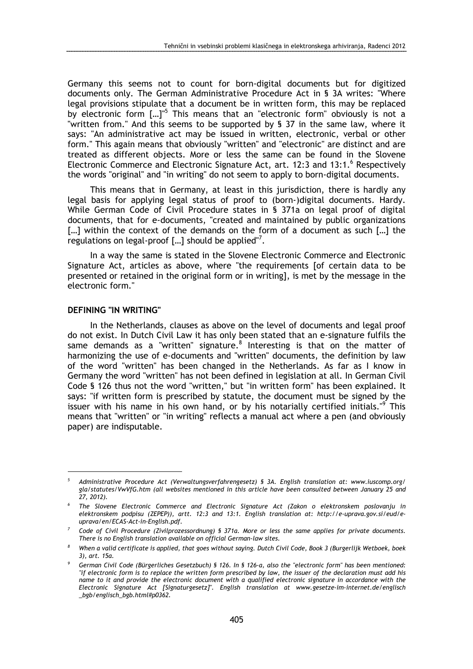Germany this seems not to count for born-digital documents but for digitized documents only. The German Administrative Procedure Act in § 3A writes: "Where legal provisions stipulate that a document be in written form, this may be replaced by electronic form [...]<sup>"5</sup> This means that an "electronic form" obviously is not a "written from." And this seems to be supported by § 37 in the same law, where it says: "An administrative act may be issued in written, electronic, verbal or other form." This again means that obviously "written" and "electronic" are distinct and are treated as different objects. More or less the same can be found in the Slovene Electronic Commerce and Electronic Signature Act, art. 12:3 and 13:1.<sup>6</sup> Respectively the words "original" and "in writing" do not seem to apply to born-digital documents.

This means that in Germany, at least in this jurisdiction, there is hardly any legal basis for applying legal status of proof to (born-)digital documents. Hardy. While German Code of Civil Procedure states in § 371a on legal proof of digital documents, that for e-documents, "created and maintained by public organizations [...] within the context of the demands on the form of a document as such [...] the regulations on legal-proof  $[...]$  should be applied"<sup>7</sup>.

In a way the same is stated in the Slovene Electronic Commerce and Electronic Signature Act, articles as above, where "the requirements [of certain data to be presented or retained in the original form or in writing], is met by the message in the electronic form."

#### DEFINING "IN WRITING"

 $\overline{a}$ 

In the Netherlands, clauses as above on the level of documents and legal proof do not exist. In Dutch Civil Law it has only been stated that an e-signature fulfils the same demands as a "written" signature. $^8$  Interesting is that on the matter of harmonizing the use of e-documents and "written" documents, the definition by law of the word "written" has been changed in the Netherlands. As far as I know in Germany the word "written" has not been defined in legislation at all. In German Civil Code § 126 thus not the word "written," but "in written form" has been explained. It says: "if written form is prescribed by statute, the document must be signed by the issuer with his name in his own hand, or by his notarially certified initials."<sup>9</sup> This means that "written" or "in writing" reflects a manual act where a pen (and obviously paper) are indisputable.

<sup>5</sup> Administrative Procedure Act (Verwaltungsverfahrengesetz) § 3A. English translation at: www.iuscomp.org/ gla/statutes/VwVfG.htm (all websites mentioned in this article have been consulted between January 25 and 27, 2012).

<sup>6</sup> The Slovene Electronic Commerce and Electronic Signature Act (Zakon o elektronskem poslovanju in elektronskem podpisu (ZEPEP)), artt. 12:3 and 13:1. English translation at: http://e-uprava.gov.si/eud/euprava/en/ECAS-Act-in-English.pdf.

<sup>7</sup> Code of Civil Procedure (Zivilprozessordnung) § 371a. More or less the same applies for private documents. There is no English translation available on official German-law sites.

<sup>8</sup> When a valid certificate is applied, that goes without saying. Dutch Civil Code, Book 3 (Burgerlijk Wetboek, boek 3), art. 15a.

<sup>9</sup> German Civil Code (Bürgerliches Gesetzbuch) § 126. In § 126-a, also the "electronic form" has been mentioned: "if electronic form is to replace the written form prescribed by law, the issuer of the declaration must add his name to it and provide the electronic document with a qualified electronic signature in accordance with the Electronic Signature Act [Signaturgesetz]". English translation at www.gesetze-im-internet.de/englisch \_bgb/englisch\_bgb.html#p0362.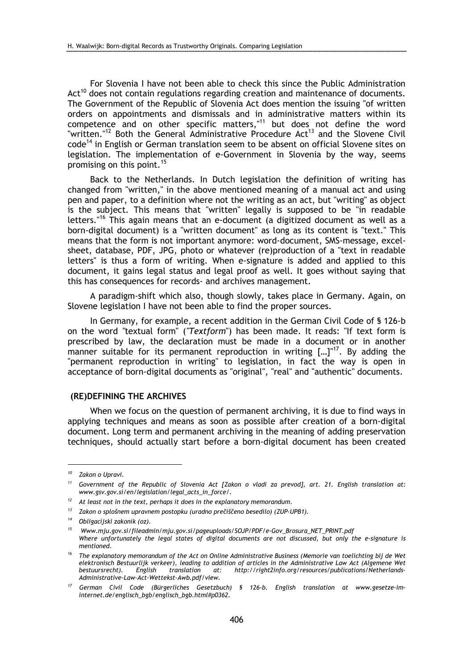For Slovenia I have not been able to check this since the Public Administration  $Act^{10}$  does not contain regulations regarding creation and maintenance of documents. The Government of the Republic of Slovenia Act does mention the issuing "of written orders on appointments and dismissals and in administrative matters within its competence and on other specific matters,  $11$  but does not define the word "written."<sup>12</sup> Both the General Administrative Procedure Act<sup>13</sup> and the Slovene Civil code<sup>14</sup> in English or German translation seem to be absent on official Slovene sites on legislation. The implementation of e-Government in Slovenia by the way, seems promising on this point.<sup>15</sup>

Back to the Netherlands. In Dutch legislation the definition of writing has changed from "written," in the above mentioned meaning of a manual act and using pen and paper, to a definition where not the writing as an act, but "writing" as object is the subject. This means that "written" legally is supposed to be "in readable letters."<sup>16</sup> This again means that an e-document (a digitized document as well as a born-digital document) is a "written document" as long as its content is "text." This means that the form is not important anymore: word-document, SMS-message, excelsheet, database, PDF, JPG, photo or whatever (re)production of a "text in readable letters" is thus a form of writing. When e-signature is added and applied to this document, it gains legal status and legal proof as well. It goes without saying that this has consequences for records- and archives management.

A paradigm-shift which also, though slowly, takes place in Germany. Again, on Slovene legislation I have not been able to find the proper sources.

In Germany, for example, a recent addition in the German Civil Code of § 126-b on the word "textual form" ("Textform") has been made. It reads: "If text form is prescribed by law, the declaration must be made in a document or in another manner suitable for its permanent reproduction in writing  $\left[...\right]^{17}$ . By adding the "permanent reproduction in writing" to legislation, in fact the way is open in acceptance of born-digital documents as "original", "real" and "authentic" documents.

#### (RE)DEFINING THE ARCHIVES

When we focus on the question of permanent archiving, it is due to find ways in applying techniques and means as soon as possible after creation of a born-digital document. Long term and permanent archiving in the meaning of adding preservation techniques, should actually start before a born-digital document has been created

 $\overline{a}$ 

<sup>&</sup>lt;sup>10</sup> Zakon o Upravi.

<sup>&</sup>lt;sup>11</sup> Government of the Republic of Slovenia Act [Zakon o vladi za prevod], art. 21. English translation at: www.gsv.gov.si/en/legislation/legal\_acts\_in\_force/.

 $12$  At least not in the text, perhaps it does in the explanatory memorandum.

<sup>13</sup> Zakon o splošnem upravnem postopku (uradno prečiščeno besedilo) (ZUP-UPB1).

<sup>14</sup> Obligacijski zakonik (oz).

<sup>&</sup>lt;sup>15</sup> Www.miu.gov.si/fileadmin/miu.gov.si/pageuploads/SOJP/PDF/e-Gov\_Brosura\_NET\_PRINT.pdf Where unfortunately the legal states of digital documents are not discussed, but only the e-signature is mentioned.

 $16$  The explanatory memorandum of the Act on Online Administrative Business (Memorie van toelichting bij de Wet elektronisch Bestuurlijk verkeer), leading to addition of articles in the Administrative Law Act (Algemene Wet bestuursrecht). English translation at: http://right2info.org/resources/publications/Netherlands-Administrative-Law-Act-Wettekst-Awb.pdf/view.

<sup>17</sup> German Civil Code (Bürgerliches Gesetzbuch) § 126-b. English translation at www.gesetze-iminternet.de/englisch\_bgb/englisch\_bgb.html#p0362.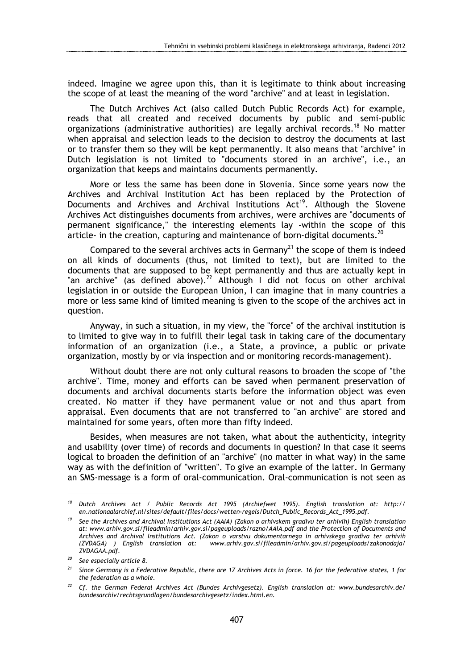indeed. Imagine we agree upon this, than it is legitimate to think about increasing the scope of at least the meaning of the word "archive" and at least in legislation.

The Dutch Archives Act (also called Dutch Public Records Act) for example, reads that all created and received documents by public and semi-public organizations (administrative authorities) are legally archival records.<sup>18</sup> No matter when appraisal and selection leads to the decision to destroy the documents at last or to transfer them so they will be kept permanently. It also means that "archive" in Dutch legislation is not limited to "documents stored in an archive", i.e., an organization that keeps and maintains documents permanently.

More or less the same has been done in Slovenia. Since some years now the Archives and Archival Institution Act has been replaced by the Protection of Documents and Archives and Archival Institutions Act<sup>19</sup>. Although the Slovene Archives Act distinguishes documents from archives, were archives are "documents of permanent significance," the interesting elements lay -within the scope of this article- in the creation, capturing and maintenance of born-digital documents.<sup>20</sup>

Compared to the several archives acts in Germany<sup>21</sup> the scope of them is indeed on all kinds of documents (thus, not limited to text), but are limited to the documents that are supposed to be kept permanently and thus are actually kept in "an archive" (as defined above).<sup>22</sup> Although I did not focus on other archival legislation in or outside the European Union, I can imagine that in many countries a more or less same kind of limited meaning is given to the scope of the archives act in question.

Anyway, in such a situation, in my view, the "force" of the archival institution is to limited to give way in to fulfill their legal task in taking care of the documentary information of an organization (i.e., a State, a province, a public or private organization, mostly by or via inspection and or monitoring records-management).

Without doubt there are not only cultural reasons to broaden the scope of "the archive". Time, money and efforts can be saved when permanent preservation of documents and archival documents starts before the information object was even created. No matter if they have permanent value or not and thus apart from appraisal. Even documents that are not transferred to "an archive" are stored and maintained for some years, often more than fifty indeed.

Besides, when measures are not taken, what about the authenticity, integrity and usability (over time) of records and documents in question? In that case it seems logical to broaden the definition of an "archive" (no matter in what way) in the same way as with the definition of "written". To give an example of the latter. In Germany an SMS-message is a form of oral-communication. Oral-communication is not seen as

 $\overline{a}$ 

<sup>&</sup>lt;sup>18</sup> Dutch Archives Act / Public Records Act 1995 (Archiefwet 1995). English translation at: http:// en.nationaalarchief.nl/sites/default/files/docs/wetten-regels/Dutch\_Public\_Records\_Act\_1995.pdf.

 $19$  See the Archives and Archival Institutions Act (AAIA) (Zakon o arhivskem gradivu ter arhivih) English translation at: www.arhiv.gov.si/fileadmin/arhiv.gov.si/pageuploads/razno/AAIA.pdf and the Protection of Documents and Archives and Archival Institutions Act. (Zakon o varstvu dokumentarnega in arhivskega gradiva ter arhivih<br>(ZVDAGA) ) English translation at: www.arhiv.gov.si/fileadmin/arhiv.gov.si/pageuploads/zakonodaja/ www.arhiv.gov.si/fileadmin/arhiv.gov.si/pageuploads/zakonodaja/ ZVDAGAA.pdf.

<sup>20</sup> See especially article 8.

 $21$  Since Germany is a Federative Republic, there are 17 Archives Acts in force. 16 for the federative states, 1 for the federation as a whole.

<sup>&</sup>lt;sup>22</sup> Cf. the German Federal Archives Act (Bundes Archivgesetz). English translation at: www.bundesarchiv.de/ bundesarchiv/rechtsgrundlagen/bundesarchivgesetz/index.html.en.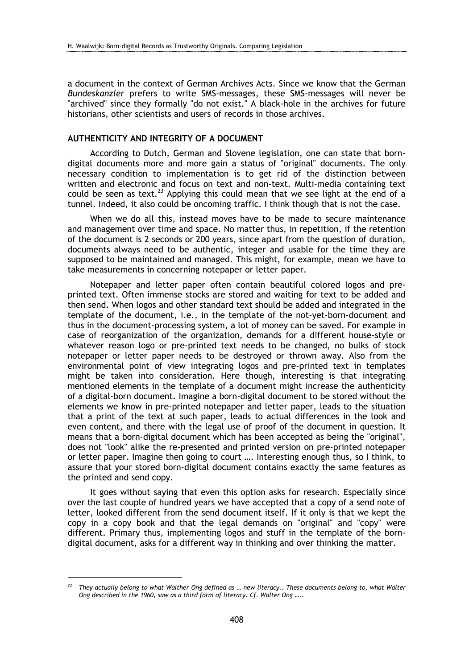a document in the context of German Archives Acts. Since we know that the German Bundeskanzler prefers to write SMS-messages, these SMS-messages will never be "archived" since they formally "do not exist." A black-hole in the archives for future historians, other scientists and users of records in those archives.

# AUTHENTICITY AND INTEGRITY OF A DOCUMENT

According to Dutch, German and Slovene legislation, one can state that borndigital documents more and more gain a status of "original" documents. The only necessary condition to implementation is to get rid of the distinction between written and electronic and focus on text and non-text. Multi-media containing text could be seen as text.<sup>23</sup> Applying this could mean that we see light at the end of a tunnel. Indeed, it also could be oncoming traffic. I think though that is not the case.

When we do all this, instead moves have to be made to secure maintenance and management over time and space. No matter thus, in repetition, if the retention of the document is 2 seconds or 200 years, since apart from the question of duration, documents always need to be authentic, integer and usable for the time they are supposed to be maintained and managed. This might, for example, mean we have to take measurements in concerning notepaper or letter paper.

Notepaper and letter paper often contain beautiful colored logos and preprinted text. Often immense stocks are stored and waiting for text to be added and then send. When logos and other standard text should be added and integrated in the template of the document, i.e., in the template of the not-yet-born-document and thus in the document-processing system, a lot of money can be saved. For example in case of reorganization of the organization, demands for a different house-style or whatever reason logo or pre-printed text needs to be changed, no bulks of stock notepaper or letter paper needs to be destroyed or thrown away. Also from the environmental point of view integrating logos and pre-printed text in templates might be taken into consideration. Here though, interesting is that integrating mentioned elements in the template of a document might increase the authenticity of a digital-born document. Imagine a born-digital document to be stored without the elements we know in pre-printed notepaper and letter paper, leads to the situation that a print of the text at such paper, leads to actual differences in the look and even content, and there with the legal use of proof of the document in question. It means that a born-digital document which has been accepted as being the "original", does not "look" alike the re-presented and printed version on pre-printed notepaper or letter paper. Imagine then going to court …. Interesting enough thus, so I think, to assure that your stored born-digital document contains exactly the same features as the printed and send copy.

It goes without saying that even this option asks for research. Especially since over the last couple of hundred years we have accepted that a copy of a send note of letter, looked different from the send document itself. If it only is that we kept the copy in a copy book and that the legal demands on "original" and "copy" were different. Primary thus, implementing logos and stuff in the template of the borndigital document, asks for a different way in thinking and over thinking the matter.

 $\overline{a}$ 

They actually belong to what Walther Ong defined as ... new literacy.. These documents belong to, what Walter Ong described in the 1960, saw as a third form of literacy. Cf. Walter Ong …..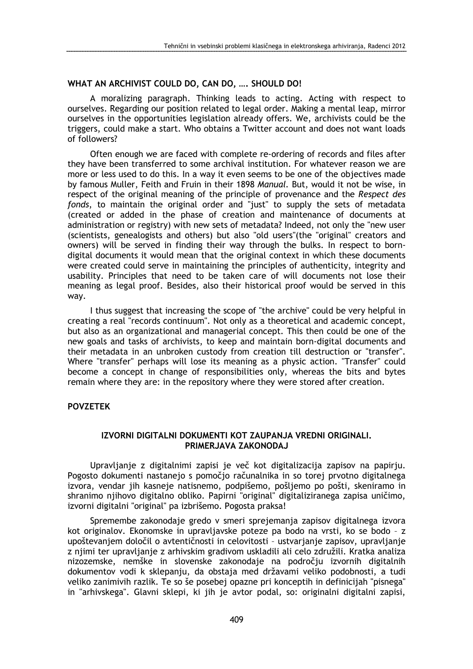# WHAT AN ARCHIVIST COULD DO, CAN DO, ..., SHOULD DO!

A moralizing paragraph. Thinking leads to acting. Acting with respect to ourselves. Regarding our position related to legal order. Making a mental leap, mirror ourselves in the opportunities legislation already offers. We, archivists could be the triggers, could make a start. Who obtains a Twitter account and does not want loads of followers?

Often enough we are faced with complete re-ordering of records and files after they have been transferred to some archival institution. For whatever reason we are more or less used to do this. In a way it even seems to be one of the objectives made by famous Muller, Feith and Fruin in their 1898 Manual. But, would it not be wise, in respect of the original meaning of the principle of provenance and the Respect des fonds, to maintain the original order and "just" to supply the sets of metadata (created or added in the phase of creation and maintenance of documents at administration or registry) with new sets of metadata? Indeed, not only the "new user (scientists, genealogists and others) but also "old users"(the "original" creators and owners) will be served in finding their way through the bulks. In respect to borndigital documents it would mean that the original context in which these documents were created could serve in maintaining the principles of authenticity, integrity and usability. Principles that need to be taken care of will documents not lose their meaning as legal proof. Besides, also their historical proof would be served in this way.

I thus suggest that increasing the scope of "the archive" could be very helpful in creating a real "records continuum". Not only as a theoretical and academic concept, but also as an organizational and managerial concept. This then could be one of the new goals and tasks of archivists, to keep and maintain born-digital documents and their metadata in an unbroken custody from creation till destruction or "transfer". Where "transfer" perhaps will lose its meaning as a physic action. "Transfer" could become a concept in change of responsibilities only, whereas the bits and bytes remain where they are: in the repository where they were stored after creation.

## POVZETEK

# IZVORNI DIGITALNI DOKUMENTI KOT ZAUPANJA VREDNI ORIGINALI. PRIMERJAVA ZAKONODAJ

Upravljanje z digitalnimi zapisi je več kot digitalizacija zapisov na papirju. Pogosto dokumenti nastanejo s pomočjo računalnika in so torej prvotno digitalnega izvora, vendar jih kasneje natisnemo, podpišemo, pošljemo po pošti, skeniramo in shranimo njihovo digitalno obliko. Papirni "original" digitaliziranega zapisa uničimo, izvorni digitalni "original" pa izbrišemo. Pogosta praksa!

Spremembe zakonodaje gredo v smeri sprejemanja zapisov digitalnega izvora kot originalov. Ekonomske in upravljavske poteze pa bodo na vrsti, ko se bodo – z upoštevanjem določil o avtentičnosti in celovitosti – ustvarjanje zapisov, upravljanje z njimi ter upravljanje z arhivskim gradivom uskladili ali celo združili. Kratka analiza nizozemske, nemške in slovenske zakonodaje na področju izvornih digitalnih dokumentov vodi k sklepanju, da obstaja med državami veliko podobnosti, a tudi veliko zanimivih razlik. Te so še posebej opazne pri konceptih in definicijah "pisnega" in "arhivskega". Glavni sklepi, ki jih je avtor podal, so: originalni digitalni zapisi,